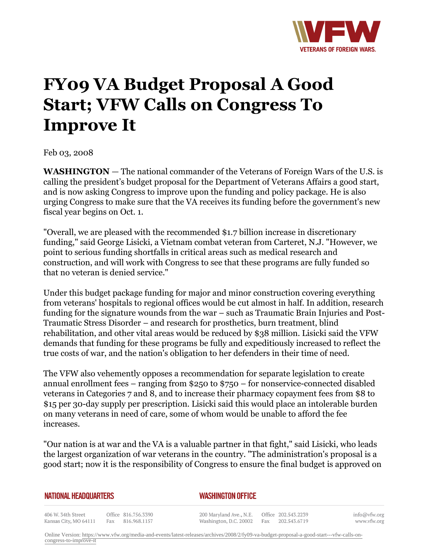

## **FY09 VA Budget Proposal A Good Start; VFW Calls on Congress To Improve It**

Feb 03, 2008

**WASHINGTON** *—* The national commander of the Veterans of Foreign Wars of the U.S. is calling the president's budget proposal for the Department of Veterans Affairs a good start, and is now asking Congress to improve upon the funding and policy package. He is also urging Congress to make sure that the VA receives its funding before the government's new fiscal year begins on Oct. 1.

"Overall, we are pleased with the recommended \$1.7 billion increase in discretionary funding," said George Lisicki, a Vietnam combat veteran from Carteret, N.J. "However, we point to serious funding shortfalls in critical areas such as medical research and construction, and will work with Congress to see that these programs are fully funded so that no veteran is denied service."

Under this budget package funding for major and minor construction covering everything from veterans' hospitals to regional offices would be cut almost in half. In addition, research funding for the signature wounds from the war – such as Traumatic Brain Injuries and Post-Traumatic Stress Disorder – and research for prosthetics, burn treatment, blind rehabilitation, and other vital areas would be reduced by \$38 million. Lisicki said the VFW demands that funding for these programs be fully and expeditiously increased to reflect the true costs of war, and the nation's obligation to her defenders in their time of need.

The VFW also vehemently opposes a recommendation for separate legislation to create annual enrollment fees – ranging from \$250 to \$750 – for nonservice-connected disabled veterans in Categories 7 and 8, and to increase their pharmacy copayment fees from \$8 to \$15 per 30-day supply per prescription. Lisicki said this would place an intolerable burden on many veterans in need of care, some of whom would be unable to afford the fee increases.

"Our nation is at war and the VA is a valuable partner in that fight," said Lisicki, who leads the largest organization of war veterans in the country. "The administration's proposal is a good start; now it is the responsibility of Congress to ensure the final budget is approved on

| <b>NATIONAL HEADQUARTERS</b> |  |
|------------------------------|--|
|------------------------------|--|

## *WASHINGTON OFFICE*

406 W. 34th Street Office 816.756.3390 Fax 816.968.1157 Kansas City, MO 64111

200 Maryland Ave., N.E. Washington, D.C. 20002

Office 202.543.2239 Fax 202.543.6719 info@vfw.org www.vfw.org

Online Version: [https://www.vfw.org/media-and-events/latest-releases/archives/2008/2/fy09-va-budget-proposal-a-good-start---vfw-calls-on](https://www.vfw.org/media-and-events/latest-releases/archives/2008/2/fy09-va-budget-proposal-a-good-start---vfw-calls-on-congress-to-improve-it)[congress-to-improve-it](https://www.vfw.org/media-and-events/latest-releases/archives/2008/2/fy09-va-budget-proposal-a-good-start---vfw-calls-on-congress-to-improve-it)